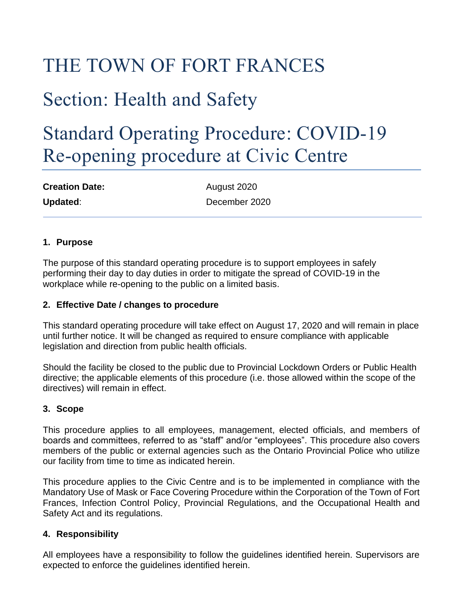# THE TOWN OF FORT FRANCES

# Section: Health and Safety

# Standard Operating Procedure: COVID-19 Re-opening procedure at Civic Centre

| <b>Creation Date:</b> | August 2020   |
|-----------------------|---------------|
| Updated:              | December 2020 |

### **1. Purpose**

The purpose of this standard operating procedure is to support employees in safely performing their day to day duties in order to mitigate the spread of COVID-19 in the workplace while re-opening to the public on a limited basis.

#### **2. Effective Date / changes to procedure**

This standard operating procedure will take effect on August 17, 2020 and will remain in place until further notice. It will be changed as required to ensure compliance with applicable legislation and direction from public health officials.

Should the facility be closed to the public due to Provincial Lockdown Orders or Public Health directive; the applicable elements of this procedure (i.e. those allowed within the scope of the directives) will remain in effect.

## **3. Scope**

This procedure applies to all employees, management, elected officials, and members of boards and committees, referred to as "staff" and/or "employees". This procedure also covers members of the public or external agencies such as the Ontario Provincial Police who utilize our facility from time to time as indicated herein.

This procedure applies to the Civic Centre and is to be implemented in compliance with the Mandatory Use of Mask or Face Covering Procedure within the Corporation of the Town of Fort Frances, Infection Control Policy, Provincial Regulations, and the Occupational Health and Safety Act and its regulations.

#### **4. Responsibility**

All employees have a responsibility to follow the guidelines identified herein. Supervisors are expected to enforce the guidelines identified herein.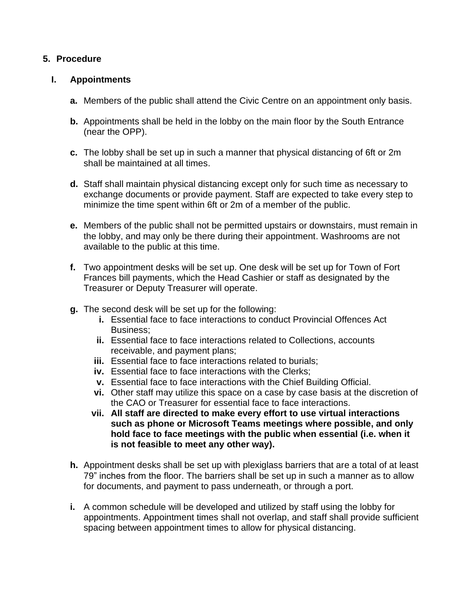### **5. Procedure**

#### **I. Appointments**

- **a.** Members of the public shall attend the Civic Centre on an appointment only basis.
- **b.** Appointments shall be held in the lobby on the main floor by the South Entrance (near the OPP).
- **c.** The lobby shall be set up in such a manner that physical distancing of 6ft or 2m shall be maintained at all times.
- **d.** Staff shall maintain physical distancing except only for such time as necessary to exchange documents or provide payment. Staff are expected to take every step to minimize the time spent within 6ft or 2m of a member of the public.
- **e.** Members of the public shall not be permitted upstairs or downstairs, must remain in the lobby, and may only be there during their appointment. Washrooms are not available to the public at this time.
- **f.** Two appointment desks will be set up. One desk will be set up for Town of Fort Frances bill payments, which the Head Cashier or staff as designated by the Treasurer or Deputy Treasurer will operate.
- **g.** The second desk will be set up for the following:
	- **i.** Essential face to face interactions to conduct Provincial Offences Act Business;
	- **ii.** Essential face to face interactions related to Collections, accounts receivable, and payment plans;
	- **iii.** Essential face to face interactions related to burials;
	- **iv.** Essential face to face interactions with the Clerks;
	- **v.** Essential face to face interactions with the Chief Building Official.
	- **vi.** Other staff may utilize this space on a case by case basis at the discretion of the CAO or Treasurer for essential face to face interactions.
	- **vii. All staff are directed to make every effort to use virtual interactions such as phone or Microsoft Teams meetings where possible, and only hold face to face meetings with the public when essential (i.e. when it is not feasible to meet any other way).**
- **h.** Appointment desks shall be set up with plexiglass barriers that are a total of at least 79" inches from the floor. The barriers shall be set up in such a manner as to allow for documents, and payment to pass underneath, or through a port.
- **i.** A common schedule will be developed and utilized by staff using the lobby for appointments. Appointment times shall not overlap, and staff shall provide sufficient spacing between appointment times to allow for physical distancing.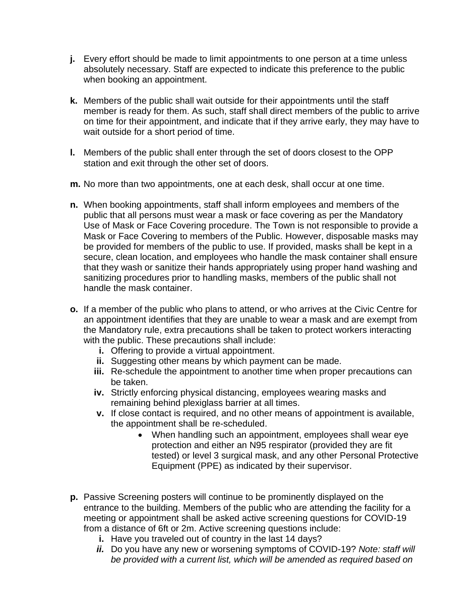- **j.** Every effort should be made to limit appointments to one person at a time unless absolutely necessary. Staff are expected to indicate this preference to the public when booking an appointment.
- **k.** Members of the public shall wait outside for their appointments until the staff member is ready for them. As such, staff shall direct members of the public to arrive on time for their appointment, and indicate that if they arrive early, they may have to wait outside for a short period of time.
- **l.** Members of the public shall enter through the set of doors closest to the OPP station and exit through the other set of doors.
- **m.** No more than two appointments, one at each desk, shall occur at one time.
- **n.** When booking appointments, staff shall inform employees and members of the public that all persons must wear a mask or face covering as per the Mandatory Use of Mask or Face Covering procedure. The Town is not responsible to provide a Mask or Face Covering to members of the Public. However, disposable masks may be provided for members of the public to use. If provided, masks shall be kept in a secure, clean location, and employees who handle the mask container shall ensure that they wash or sanitize their hands appropriately using proper hand washing and sanitizing procedures prior to handling masks, members of the public shall not handle the mask container.
- **o.** If a member of the public who plans to attend, or who arrives at the Civic Centre for an appointment identifies that they are unable to wear a mask and are exempt from the Mandatory rule, extra precautions shall be taken to protect workers interacting with the public. These precautions shall include:
	- **i.** Offering to provide a virtual appointment.
	- **ii.** Suggesting other means by which payment can be made.
	- **iii.** Re-schedule the appointment to another time when proper precautions can be taken.
	- **iv.** Strictly enforcing physical distancing, employees wearing masks and remaining behind plexiglass barrier at all times.
	- **v.** If close contact is required, and no other means of appointment is available, the appointment shall be re-scheduled.
		- When handling such an appointment, employees shall wear eye protection and either an N95 respirator (provided they are fit tested) or level 3 surgical mask, and any other Personal Protective Equipment (PPE) as indicated by their supervisor.
- **p.** Passive Screening posters will continue to be prominently displayed on the entrance to the building. Members of the public who are attending the facility for a meeting or appointment shall be asked active screening questions for COVID-19 from a distance of 6ft or 2m. Active screening questions include:
	- **i.** Have you traveled out of country in the last 14 days?
	- *ii.* Do you have any new or worsening symptoms of COVID-19? *Note: staff will be provided with a current list, which will be amended as required based on*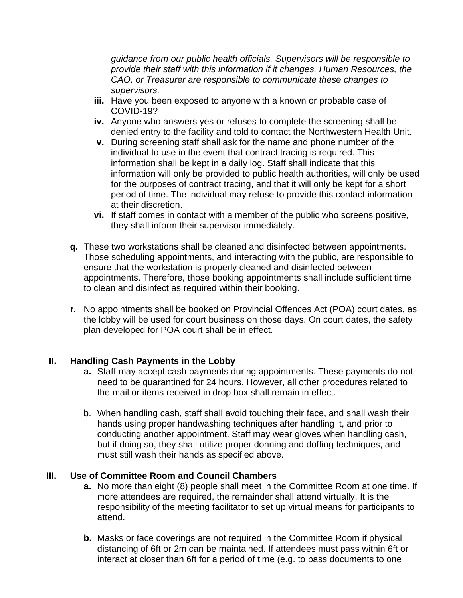*guidance from our public health officials. Supervisors will be responsible to provide their staff with this information if it changes. Human Resources, the CAO, or Treasurer are responsible to communicate these changes to supervisors.*

- **iii.** Have you been exposed to anyone with a known or probable case of COVID-19?
- **iv.** Anyone who answers yes or refuses to complete the screening shall be denied entry to the facility and told to contact the Northwestern Health Unit.
- **v.** During screening staff shall ask for the name and phone number of the individual to use in the event that contract tracing is required. This information shall be kept in a daily log. Staff shall indicate that this information will only be provided to public health authorities, will only be used for the purposes of contract tracing, and that it will only be kept for a short period of time. The individual may refuse to provide this contact information at their discretion.
- **vi.** If staff comes in contact with a member of the public who screens positive, they shall inform their supervisor immediately.
- **q.** These two workstations shall be cleaned and disinfected between appointments. Those scheduling appointments, and interacting with the public, are responsible to ensure that the workstation is properly cleaned and disinfected between appointments. Therefore, those booking appointments shall include sufficient time to clean and disinfect as required within their booking.
- **r.** No appointments shall be booked on Provincial Offences Act (POA) court dates, as the lobby will be used for court business on those days. On court dates, the safety plan developed for POA court shall be in effect.

## **II. Handling Cash Payments in the Lobby**

- **a.** Staff may accept cash payments during appointments. These payments do not need to be quarantined for 24 hours. However, all other procedures related to the mail or items received in drop box shall remain in effect.
- b. When handling cash, staff shall avoid touching their face, and shall wash their hands using proper handwashing techniques after handling it, and prior to conducting another appointment. Staff may wear gloves when handling cash, but if doing so, they shall utilize proper donning and doffing techniques, and must still wash their hands as specified above.

#### **III. Use of Committee Room and Council Chambers**

- **a.** No more than eight (8) people shall meet in the Committee Room at one time. If more attendees are required, the remainder shall attend virtually. It is the responsibility of the meeting facilitator to set up virtual means for participants to attend.
- **b.** Masks or face coverings are not required in the Committee Room if physical distancing of 6ft or 2m can be maintained. If attendees must pass within 6ft or interact at closer than 6ft for a period of time (e.g. to pass documents to one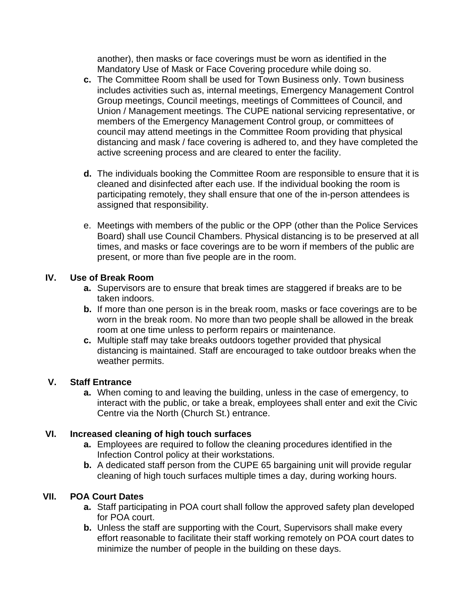another), then masks or face coverings must be worn as identified in the Mandatory Use of Mask or Face Covering procedure while doing so.

- **c.** The Committee Room shall be used for Town Business only. Town business includes activities such as, internal meetings, Emergency Management Control Group meetings, Council meetings, meetings of Committees of Council, and Union / Management meetings. The CUPE national servicing representative, or members of the Emergency Management Control group, or committees of council may attend meetings in the Committee Room providing that physical distancing and mask / face covering is adhered to, and they have completed the active screening process and are cleared to enter the facility.
- **d.** The individuals booking the Committee Room are responsible to ensure that it is cleaned and disinfected after each use. If the individual booking the room is participating remotely, they shall ensure that one of the in-person attendees is assigned that responsibility.
- e. Meetings with members of the public or the OPP (other than the Police Services Board) shall use Council Chambers. Physical distancing is to be preserved at all times, and masks or face coverings are to be worn if members of the public are present, or more than five people are in the room.

## **IV. Use of Break Room**

- **a.** Supervisors are to ensure that break times are staggered if breaks are to be taken indoors.
- **b.** If more than one person is in the break room, masks or face coverings are to be worn in the break room. No more than two people shall be allowed in the break room at one time unless to perform repairs or maintenance.
- **c.** Multiple staff may take breaks outdoors together provided that physical distancing is maintained. Staff are encouraged to take outdoor breaks when the weather permits.

# **V. Staff Entrance**

**a.** When coming to and leaving the building, unless in the case of emergency, to interact with the public, or take a break, employees shall enter and exit the Civic Centre via the North (Church St.) entrance.

# **VI. Increased cleaning of high touch surfaces**

- **a.** Employees are required to follow the cleaning procedures identified in the Infection Control policy at their workstations.
- **b.** A dedicated staff person from the CUPE 65 bargaining unit will provide regular cleaning of high touch surfaces multiple times a day, during working hours.

# **VII. POA Court Dates**

- **a.** Staff participating in POA court shall follow the approved safety plan developed for POA court.
- **b.** Unless the staff are supporting with the Court, Supervisors shall make every effort reasonable to facilitate their staff working remotely on POA court dates to minimize the number of people in the building on these days.